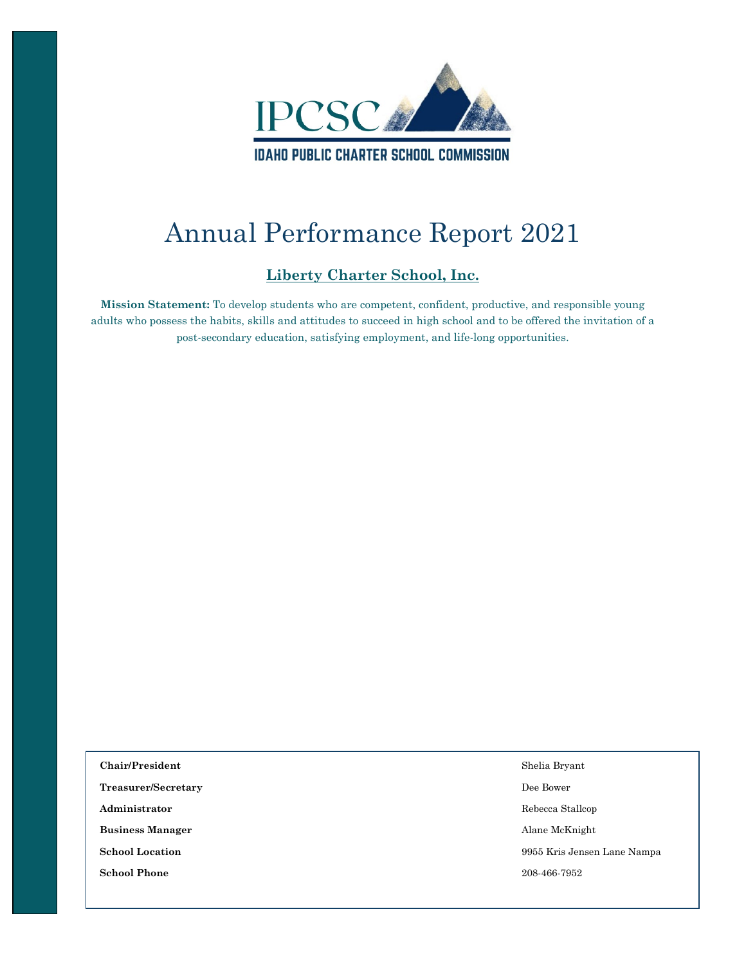

# Annual Performance Report 2021

### **Liberty Charter School, Inc.**

**Mission Statement:** To develop students who are competent, confident, productive, and responsible young adults who possess the habits, skills and attitudes to succeed in high school and to be offered the invitation of a post-secondary education, satisfying employment, and life-long opportunities.

| Chair/President         | Shelia Bryant               |
|-------------------------|-----------------------------|
| Treasurer/Secretary     | Dee Bower                   |
| Administrator           | Rebecca Stallcop            |
| <b>Business Manager</b> | Alane McKnight              |
| <b>School Location</b>  | 9955 Kris Jensen Lane Nampa |
| <b>School Phone</b>     | 208-466-7952                |
|                         |                             |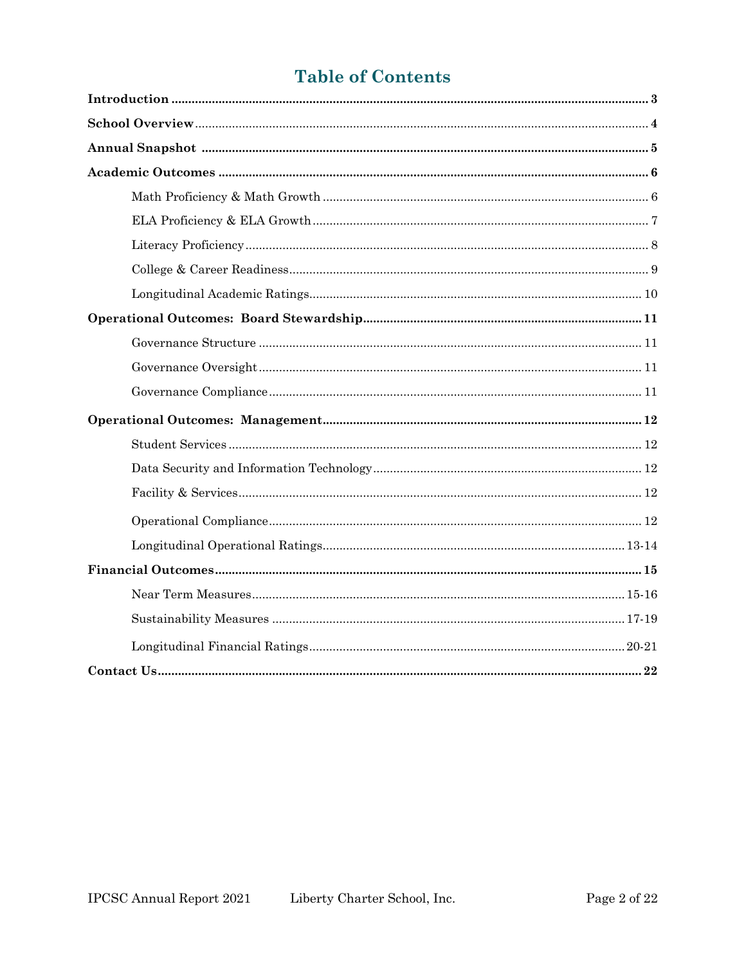# **Table of Contents**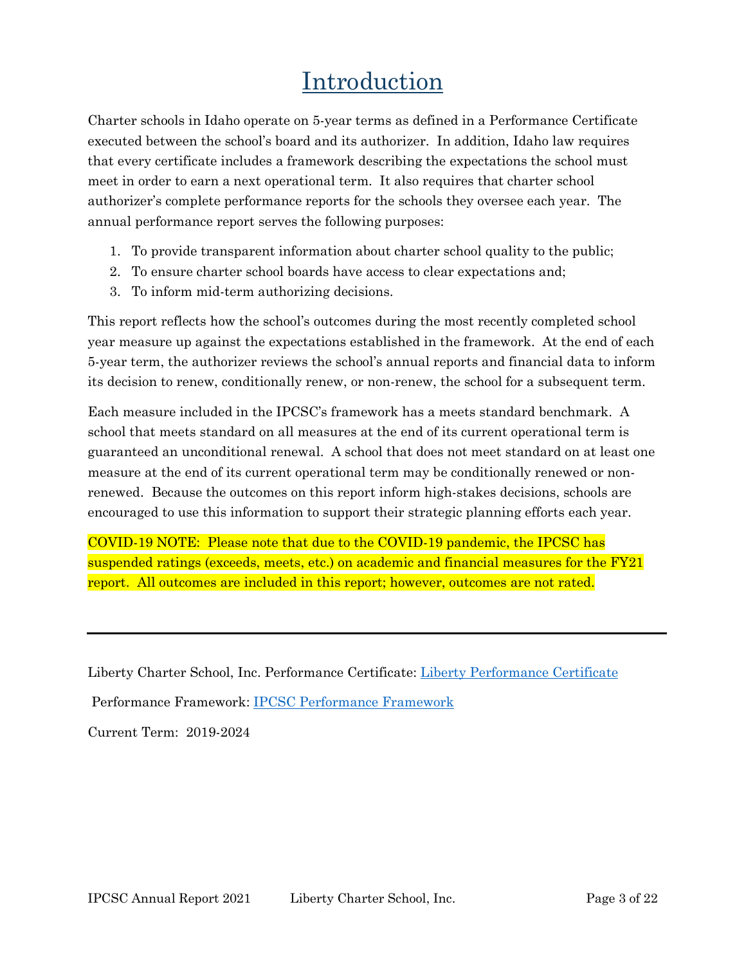# Introduction

Charter schools in Idaho operate on 5-year terms as defined in a Performance Certificate executed between the school's board and its authorizer. In addition, Idaho law requires that every certificate includes a framework describing the expectations the school must meet in order to earn a next operational term. It also requires that charter school authorizer's complete performance reports for the schools they oversee each year. The annual performance report serves the following purposes:

- 1. To provide transparent information about charter school quality to the public;
- 2. To ensure charter school boards have access to clear expectations and;
- 3. To inform mid-term authorizing decisions.

This report reflects how the school's outcomes during the most recently completed school year measure up against the expectations established in the framework. At the end of each 5-year term, the authorizer reviews the school's annual reports and financial data to inform its decision to renew, conditionally renew, or non-renew, the school for a subsequent term.

Each measure included in the IPCSC's framework has a meets standard benchmark. A school that meets standard on all measures at the end of its current operational term is guaranteed an unconditional renewal. A school that does not meet standard on at least one measure at the end of its current operational term may be conditionally renewed or nonrenewed. Because the outcomes on this report inform high-stakes decisions, schools are encouraged to use this information to support their strategic planning efforts each year.

COVID-19 NOTE: Please note that due to the COVID-19 pandemic, the IPCSC has suspended ratings (exceeds, meets, etc.) on academic and financial measures for the FY21 report. All outcomes are included in this report; however, outcomes are not rated.

Liberty Charter School, Inc. Performance Certificate: [Liberty Performance Certificate](https://chartercommission.idaho.gov/resources/liberty-charter-school-performance-certificate/) Performance Framework: [IPCSC Performance Framework](https://chartercommission.idaho.gov/resources/performance-framework/)

Current Term: 2019-2024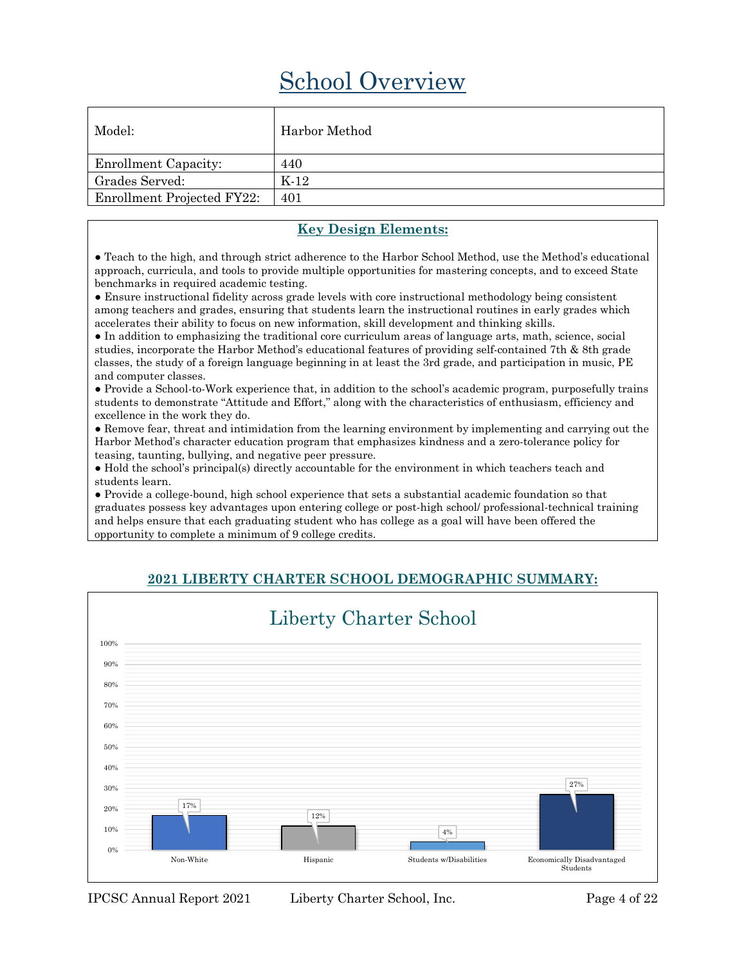# School Overview

| Model:                            | Harbor Method |
|-----------------------------------|---------------|
| <b>Enrollment Capacity:</b>       | 440           |
| Grades Served:                    | $K-12$        |
| <b>Enrollment Projected FY22:</b> | 401           |

#### **Key Design Elements:**

• Teach to the high, and through strict adherence to the Harbor School Method, use the Method's educational approach, curricula, and tools to provide multiple opportunities for mastering concepts, and to exceed State benchmarks in required academic testing.

● Ensure instructional fidelity across grade levels with core instructional methodology being consistent among teachers and grades, ensuring that students learn the instructional routines in early grades which accelerates their ability to focus on new information, skill development and thinking skills.

● In addition to emphasizing the traditional core curriculum areas of language arts, math, science, social studies, incorporate the Harbor Method's educational features of providing self-contained 7th & 8th grade classes, the study of a foreign language beginning in at least the 3rd grade, and participation in music, PE and computer classes.

● Provide a School-to-Work experience that, in addition to the school's academic program, purposefully trains students to demonstrate "Attitude and Effort," along with the characteristics of enthusiasm, efficiency and excellence in the work they do.

● Remove fear, threat and intimidation from the learning environment by implementing and carrying out the Harbor Method's character education program that emphasizes kindness and a zero-tolerance policy for teasing, taunting, bullying, and negative peer pressure.

● Hold the school's principal(s) directly accountable for the environment in which teachers teach and students learn.

● Provide a college-bound, high school experience that sets a substantial academic foundation so that graduates possess key advantages upon entering college or post-high school/ professional-technical training and helps ensure that each graduating student who has college as a goal will have been offered the opportunity to complete a minimum of 9 college credits.



### **2021 LIBERTY CHARTER SCHOOL DEMOGRAPHIC SUMMARY:**

IPCSC Annual Report 2021 Liberty Charter School, Inc. Page 4 of 22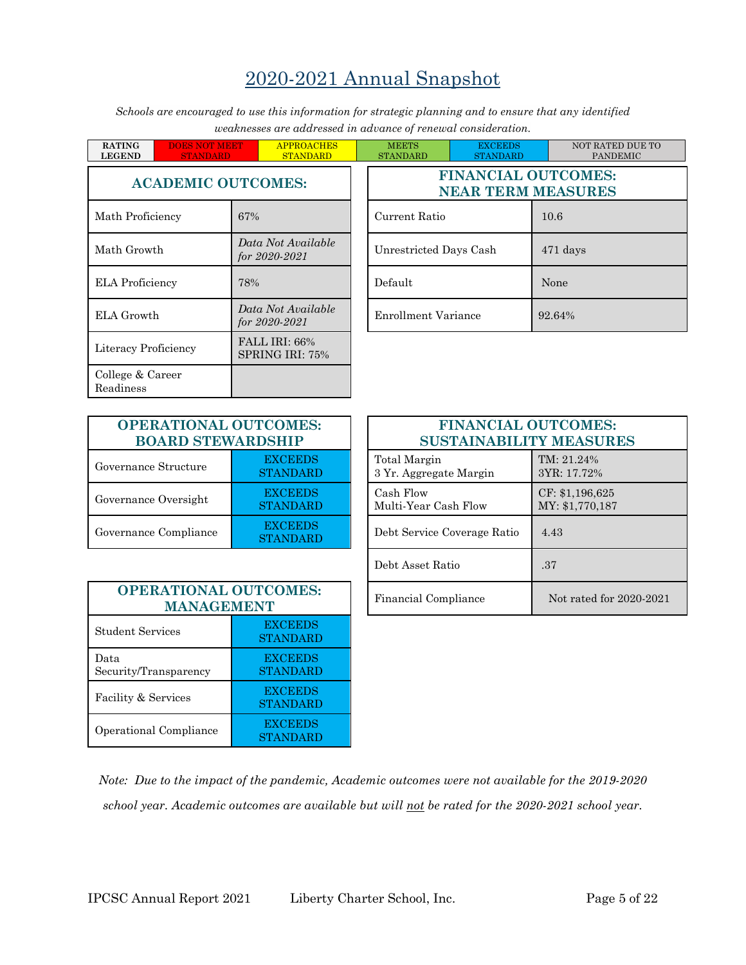# 2020-2021 Annual Snapshot

*Schools are encouraged to use this information for strategic planning and to ensure that any identified weaknesses are addressed in advance of renewal consideration.*

| <b>RATING</b><br><b>LEGEND</b> | <b>DOES NOT MEET</b><br><b>STANDARD</b> |     | <b>APPROACHES</b><br><b>STANDARD</b>          | <b>MEETS</b><br><b>STANDARD</b> | <b>EXCEEDS</b><br><b>STANDARD</b> |       |  |
|--------------------------------|-----------------------------------------|-----|-----------------------------------------------|---------------------------------|-----------------------------------|-------|--|
| <b>ACADEMIC OUTCOMES:</b>      |                                         |     | <b>FINANCIAL OUTC</b><br><b>NEAR TERM MEA</b> |                                 |                                   |       |  |
| Math Proficiency               |                                         | 67% |                                               | Current Ratio                   |                                   | 10.6  |  |
| Math Growth                    |                                         |     | Data Not Available<br>for $2020 - 2021$       | Unrestricted Days Cash          |                                   | 471 d |  |
| <b>ELA</b> Proficiency         |                                         | 78% |                                               | Default                         |                                   | None  |  |
| <b>ELA</b> Growth              |                                         |     | Data Not Available<br>for $2020 - 2021$       | <b>Enrollment Variance</b>      |                                   | 92.64 |  |
| Literacy Proficiency           |                                         |     | FALL IRI: 66%<br>SPRING IRI: 75%              |                                 |                                   |       |  |
| College & Career<br>Readiness  |                                         |     |                                               |                                 |                                   |       |  |

| Ŧ.  | <b>APPROACHES</b><br><b>STANDARD</b> | <b>MEETS</b><br><b>STANDARD</b> | <b>EXCEEDS</b><br><b>STANDARD</b>                       | NOT RATED DUE TO<br><b>PANDEMIC</b> |  |  |  |
|-----|--------------------------------------|---------------------------------|---------------------------------------------------------|-------------------------------------|--|--|--|
|     | <b>TCOMES:</b>                       |                                 | <b>FINANCIAL OUTCOMES:</b><br><b>NEAR TERM MEASURES</b> |                                     |  |  |  |
| 67% |                                      | Current Ratio                   |                                                         | 10.6                                |  |  |  |
|     | Data Not Available<br>for 2020-2021  | Unrestricted Days Cash          |                                                         | 471 days                            |  |  |  |
| 78% |                                      | Default                         |                                                         | None                                |  |  |  |
|     | Data Not Available<br>for 2020-2021  | Enrollment Variance             |                                                         | 92.64%                              |  |  |  |

| <b>OPERATIONAL OUTCOMES:</b><br><b>BOARD STEWARDSHIP</b> |                                   |  |
|----------------------------------------------------------|-----------------------------------|--|
| Governance Structure                                     | <b>EXCEEDS</b><br><b>STANDARD</b> |  |
| Governance Oversight                                     | <b>EXCEEDS</b><br><b>STANDARD</b> |  |
| Governance Compliance                                    | <b>EXCEEDS</b><br><b>STANDARD</b> |  |

| <b>ATIONAL OUTCOMES:</b><br><b>RD STEWARDSHIP</b> |                                   | <b>FINANCIAL OUTCOMES:</b><br><b>SUSTAINABILITY MEASURES</b> |                                    |
|---------------------------------------------------|-----------------------------------|--------------------------------------------------------------|------------------------------------|
| tructure                                          | <b>EXCEEDS</b><br><b>STANDARD</b> | Total Margin<br>3 Yr. Aggregate Margin                       | TM: 21.24%<br>3YR: 17.72%          |
| versight                                          | <b>EXCEEDS</b><br><b>STANDARD</b> | Cash Flow<br>Multi-Year Cash Flow                            | CF: \$1,196,625<br>MY: \$1,770,187 |
| ompliance                                         | <b>EXCEEDS</b><br><b>STANDARD</b> | Debt Service Coverage Ratio                                  | 4.43                               |
|                                                   |                                   | Debt Asset Ratio                                             | .37                                |
| <b>ATIONAL OUTCOMES:</b><br><b>MANAGEMENT</b>     |                                   | Financial Compliance                                         | Not rated for 2020-2021            |

| <b>OPERATIONAL OUTCOMES:</b><br><b>MANAGEMENT</b> |                                   |  |
|---------------------------------------------------|-----------------------------------|--|
| Student Services                                  | <b>EXCEEDS</b><br><b>STANDARD</b> |  |
| Data<br>Security/Transparency                     | <b>EXCEEDS</b><br><b>STANDARD</b> |  |
| Facility & Services                               | <b>EXCEEDS</b><br><b>STANDARD</b> |  |
| Operational Compliance                            | <b>EXCEEDS</b><br><b>STANDARD</b> |  |

*Note: Due to the impact of the pandemic, Academic outcomes were not available for the 2019-2020 school year. Academic outcomes are available but will not be rated for the 2020-2021 school year.*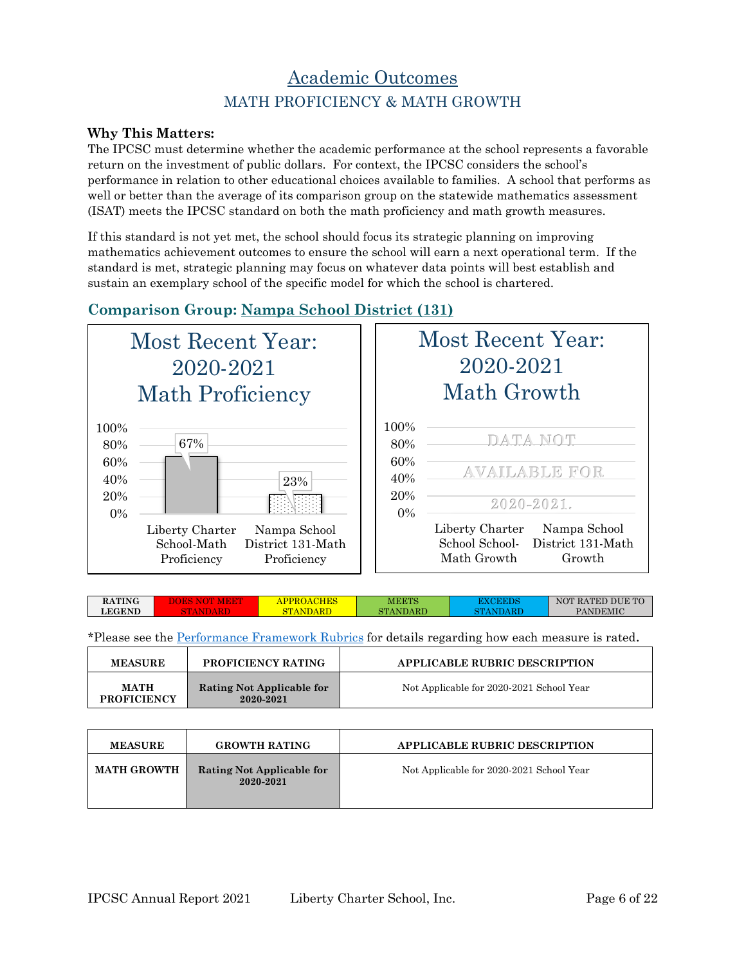### Academic Outcomes MATH PROFICIENCY & MATH GROWTH

#### **Why This Matters:**

The IPCSC must determine whether the academic performance at the school represents a favorable return on the investment of public dollars. For context, the IPCSC considers the school's performance in relation to other educational choices available to families. A school that performs as well or better than the average of its comparison group on the statewide mathematics assessment (ISAT) meets the IPCSC standard on both the math proficiency and math growth measures.

If this standard is not yet met, the school should focus its strategic planning on improving mathematics achievement outcomes to ensure the school will earn a next operational term. If the standard is met, strategic planning may focus on whatever data points will best establish and sustain an exemplary school of the specific model for which the school is chartered.

### **Comparison Group: Nampa School District (131)**



|                            | Most Recent Year:<br>2020-2021<br>Math Growth                                                |
|----------------------------|----------------------------------------------------------------------------------------------|
| 100\%<br>80%<br>60%<br>40% | DATA NOT<br><b>AVAILABLE FOR</b>                                                             |
| 20%<br>$0\%$               | 2020-2021.                                                                                   |
|                            | Liberty Charter<br>Nampa School<br>School School- District 131-Math<br>Math Growth<br>Growth |

| <b>RATING</b> | <b>HES</b><br>APPROAC | MEETS    | <b>EXCEED!</b> | NOT RATED DUE TO |
|---------------|-----------------------|----------|----------------|------------------|
| <b>LEGEND</b> | $\mathbf{r}$<br>s ma  | STANDARD | NTANDARE       | PANDEMIC         |
|               |                       |          |                |                  |

| <b>MEASURE</b>                    | <b>PROFICIENCY RATING</b>              | <b>APPLICABLE RUBRIC DESCRIPTION</b>     |
|-----------------------------------|----------------------------------------|------------------------------------------|
| <b>MATH</b><br><b>PROFICIENCY</b> | Rating Not Applicable for<br>2020-2021 | Not Applicable for 2020-2021 School Year |

| <b>MEASURE</b>     | <b>GROWTH RATING</b>                   | <b>APPLICABLE RUBRIC DESCRIPTION</b>     |
|--------------------|----------------------------------------|------------------------------------------|
| <b>MATH GROWTH</b> | Rating Not Applicable for<br>2020-2021 | Not Applicable for 2020-2021 School Year |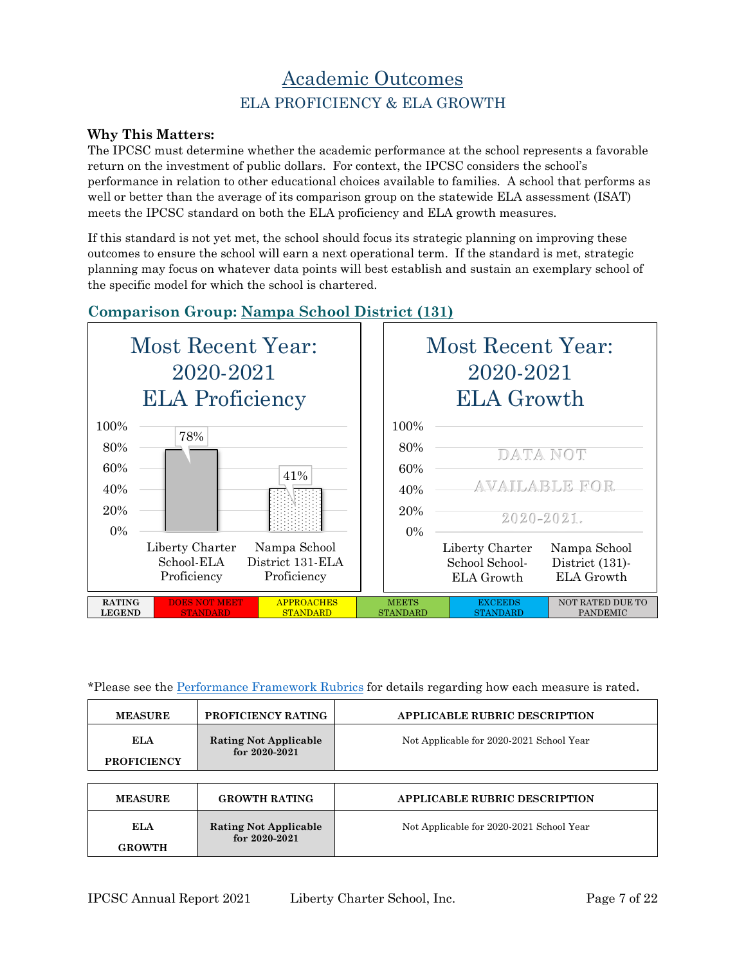## Academic Outcomes ELA PROFICIENCY & ELA GROWTH

#### **Why This Matters:**

The IPCSC must determine whether the academic performance at the school represents a favorable return on the investment of public dollars. For context, the IPCSC considers the school's performance in relation to other educational choices available to families. A school that performs as well or better than the average of its comparison group on the statewide ELA assessment (ISAT) meets the IPCSC standard on both the ELA proficiency and ELA growth measures.

If this standard is not yet met, the school should focus its strategic planning on improving these outcomes to ensure the school will earn a next operational term. If the standard is met, strategic planning may focus on whatever data points will best establish and sustain an exemplary school of the specific model for which the school is chartered.

### **Comparison Group: Nampa School District (131)**



| <b>MEASURE</b>                   | PROFICIENCY RATING                                | <b>APPLICABLE RUBRIC DESCRIPTION</b>     |
|----------------------------------|---------------------------------------------------|------------------------------------------|
| <b>ELA</b><br><b>PROFICIENCY</b> | <b>Rating Not Applicable</b><br>for $2020 - 2021$ | Not Applicable for 2020-2021 School Year |
|                                  |                                                   |                                          |
| <b>MEASURE</b>                   | <b>GROWTH RATING</b>                              | <b>APPLICABLE RUBRIC DESCRIPTION</b>     |
| ELA<br><b>GROWTH</b>             | <b>Rating Not Applicable</b><br>for $2020 - 2021$ | Not Applicable for 2020-2021 School Year |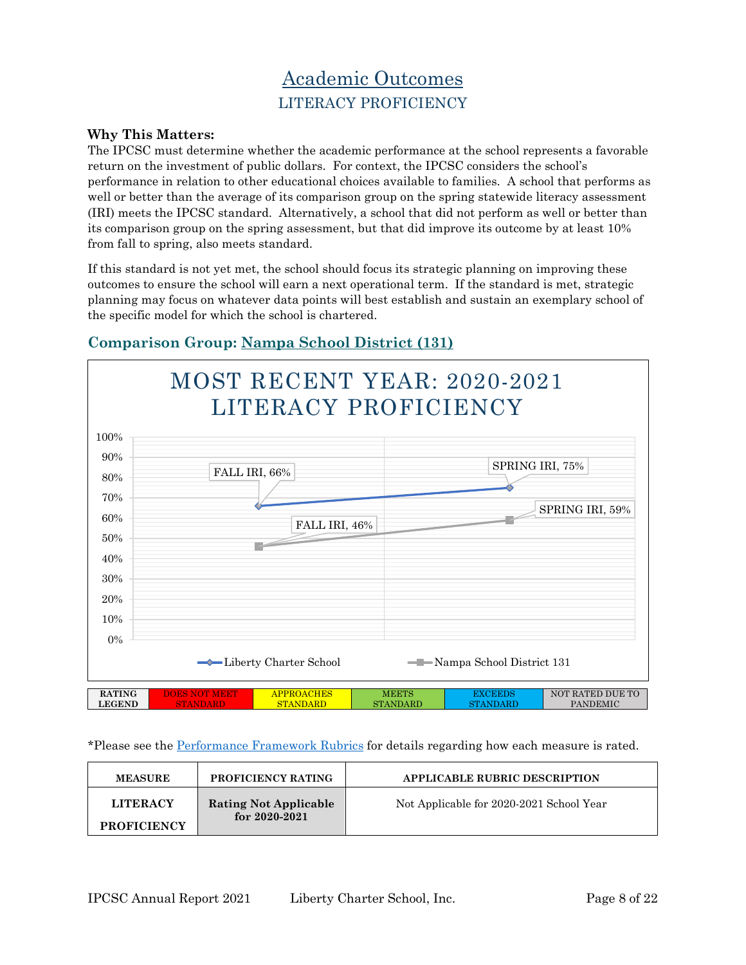# Academic Outcomes LITERACY PROFICIENCY

#### **Why This Matters:**

The IPCSC must determine whether the academic performance at the school represents a favorable return on the investment of public dollars. For context, the IPCSC considers the school's performance in relation to other educational choices available to families. A school that performs as well or better than the average of its comparison group on the spring statewide literacy assessment (IRI) meets the IPCSC standard. Alternatively, a school that did not perform as well or better than its comparison group on the spring assessment, but that did improve its outcome by at least 10% from fall to spring, also meets standard.

If this standard is not yet met, the school should focus its strategic planning on improving these outcomes to ensure the school will earn a next operational term. If the standard is met, strategic planning may focus on whatever data points will best establish and sustain an exemplary school of the specific model for which the school is chartered.



### **Comparison Group: Nampa School District (131)**

| <b>MEASURE</b>                        | <b>PROFICIENCY RATING</b>                         | <b>APPLICABLE RUBRIC DESCRIPTION</b>     |
|---------------------------------------|---------------------------------------------------|------------------------------------------|
| <b>LITERACY</b><br><b>PROFICIENCY</b> | <b>Rating Not Applicable</b><br>for $2020 - 2021$ | Not Applicable for 2020-2021 School Year |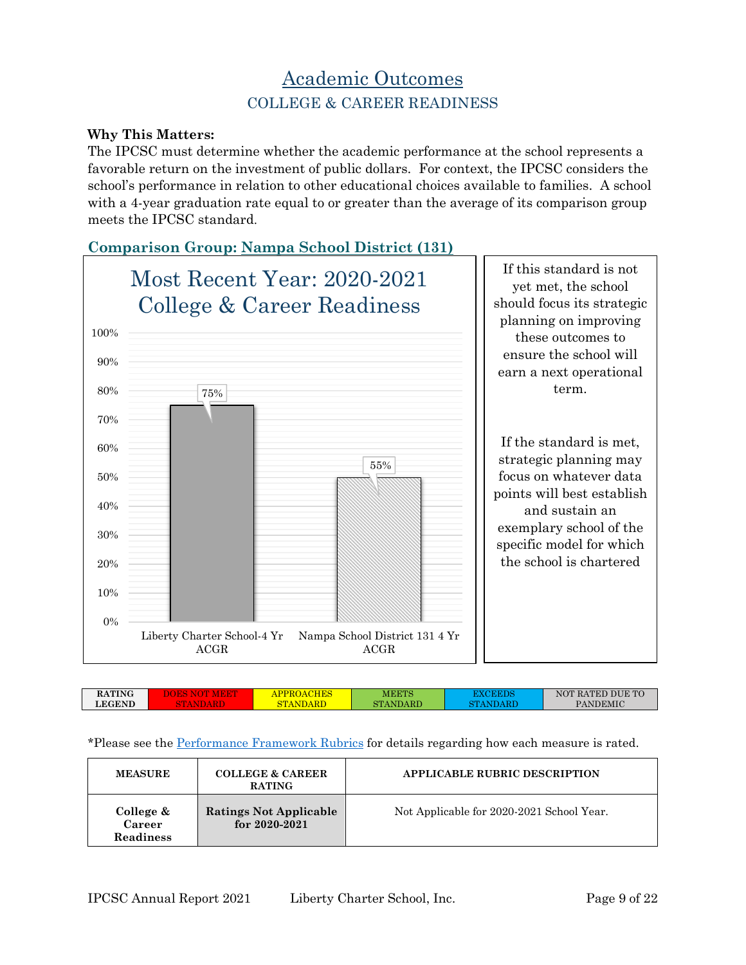### Academic Outcomes COLLEGE & CAREER READINESS

#### **Why This Matters:**

The IPCSC must determine whether the academic performance at the school represents a favorable return on the investment of public dollars. For context, the IPCSC considers the school's performance in relation to other educational choices available to families. A school with a 4-year graduation rate equal to or greater than the average of its comparison group meets the IPCSC standard.

### **Comparison Group: Nampa School District (131)**



| <b>PANDEMIC</b><br><b>LEGEND</b><br>STANDARD<br>$\Delta$ RT<br>חד |
|-------------------------------------------------------------------|
|-------------------------------------------------------------------|

| <b>MEASURE</b>                   | <b>COLLEGE &amp; CAREER</b><br><b>RATING</b>       | <b>APPLICABLE RUBRIC DESCRIPTION</b>      |
|----------------------------------|----------------------------------------------------|-------------------------------------------|
| College &<br>Career<br>Readiness | <b>Ratings Not Applicable</b><br>for $2020 - 2021$ | Not Applicable for 2020-2021 School Year. |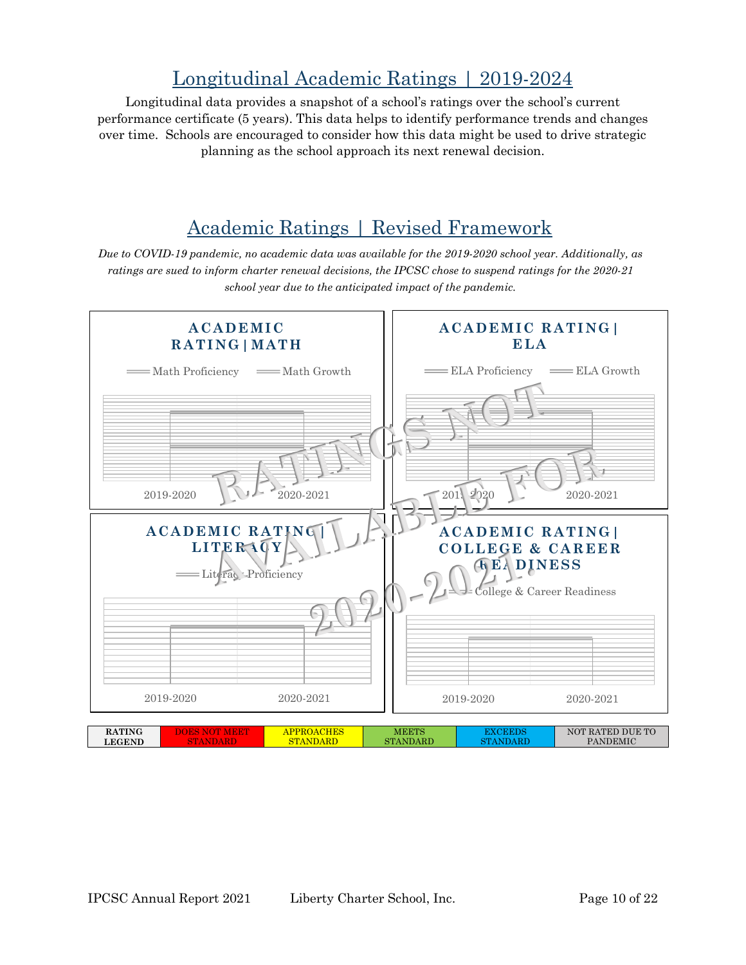# Longitudinal Academic Ratings | 2019-2024

Longitudinal data provides a snapshot of a school's ratings over the school's current performance certificate (5 years). This data helps to identify performance trends and changes over time. Schools are encouraged to consider how this data might be used to drive strategic planning as the school approach its next renewal decision.

# Academic Ratings | Revised Framework

*Due to COVID-19 pandemic, no academic data was available for the 2019-2020 school year. Additionally, as ratings are sued to inform charter renewal decisions, the IPCSC chose to suspend ratings for the 2020-21 school year due to the anticipated impact of the pandemic.*

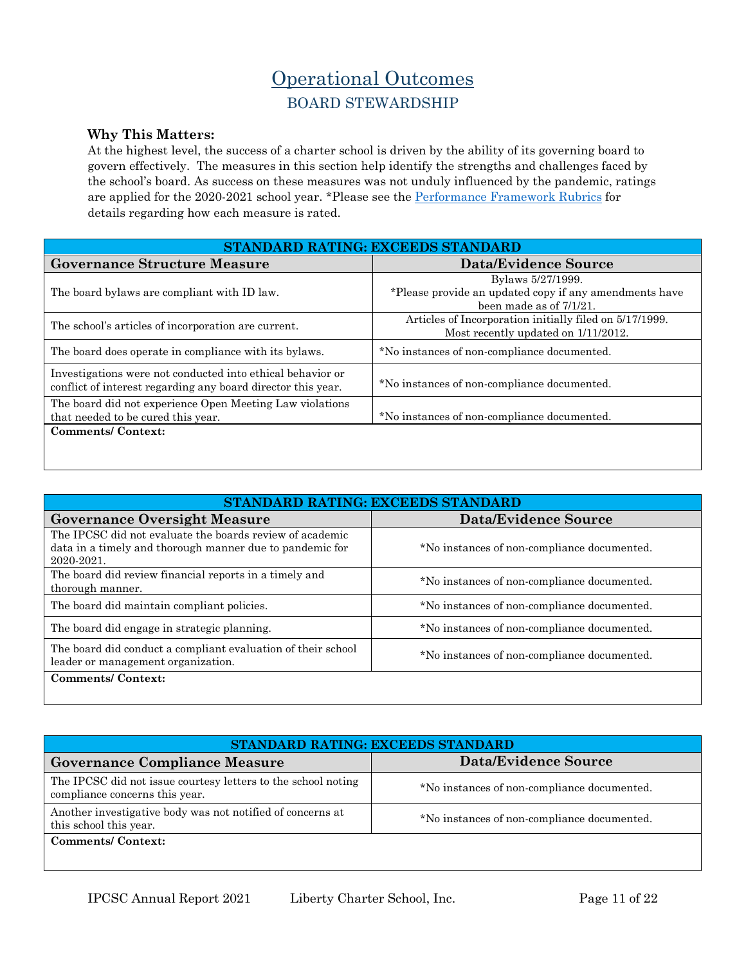# Operational Outcomes BOARD STEWARDSHIP

#### **Why This Matters:**

At the highest level, the success of a charter school is driven by the ability of its governing board to govern effectively. The measures in this section help identify the strengths and challenges faced by the school's board. As success on these measures was not unduly influenced by the pandemic, ratings are applied for the 2020-2021 school year. \*Please see the [Performance Framework Rubrics](https://chartercommission.idaho.gov/resources/financial-framework/) for details regarding how each measure is rated.

| STANDARD RATING: EXCEEDS STANDARD                                                                                          |                                                                                                           |  |  |
|----------------------------------------------------------------------------------------------------------------------------|-----------------------------------------------------------------------------------------------------------|--|--|
| <b>Governance Structure Measure</b>                                                                                        | Data/Evidence Source                                                                                      |  |  |
| The board by laws are compliant with ID law.                                                                               | Bylaws 5/27/1999.<br>*Please provide an updated copy if any amendments have<br>been made as of $7/1/21$ . |  |  |
| The school's articles of incorporation are current.                                                                        | Articles of Incorporation initially filed on 5/17/1999.<br>Most recently updated on $1/11/2012$ .         |  |  |
| The board does operate in compliance with its by laws.                                                                     | *No instances of non-compliance documented.                                                               |  |  |
| Investigations were not conducted into ethical behavior or<br>conflict of interest regarding any board director this year. | *No instances of non-compliance documented.                                                               |  |  |
| The board did not experience Open Meeting Law violations<br>that needed to be cured this year.                             | *No instances of non-compliance documented.                                                               |  |  |
| <b>Comments/Context:</b>                                                                                                   |                                                                                                           |  |  |

| STANDARD RATING: EXCEEDS STANDARD                                                                                                  |                                             |  |  |
|------------------------------------------------------------------------------------------------------------------------------------|---------------------------------------------|--|--|
| <b>Governance Oversight Measure</b>                                                                                                | <b>Data/Evidence Source</b>                 |  |  |
| The IPCSC did not evaluate the boards review of academic<br>data in a timely and thorough manner due to pandemic for<br>2020-2021. | *No instances of non-compliance documented. |  |  |
| The board did review financial reports in a timely and<br>thorough manner.                                                         | *No instances of non-compliance documented. |  |  |
| The board did maintain compliant policies.                                                                                         | *No instances of non-compliance documented. |  |  |
| The board did engage in strategic planning.                                                                                        | *No instances of non-compliance documented. |  |  |
| The board did conduct a compliant evaluation of their school<br>leader or management organization.                                 | *No instances of non-compliance documented. |  |  |
| <b>Comments/Context:</b>                                                                                                           |                                             |  |  |

| STANDARD RATING: EXCEEDS STANDARD                                                               |                                             |  |  |
|-------------------------------------------------------------------------------------------------|---------------------------------------------|--|--|
| <b>Governance Compliance Measure</b>                                                            | Data/Evidence Source                        |  |  |
| The IPCSC did not issue courtesy letters to the school noting<br>compliance concerns this year. | *No instances of non-compliance documented. |  |  |
| Another investigative body was not notified of concerns at<br>this school this year.            | *No instances of non-compliance documented. |  |  |
| <b>Comments/Context:</b>                                                                        |                                             |  |  |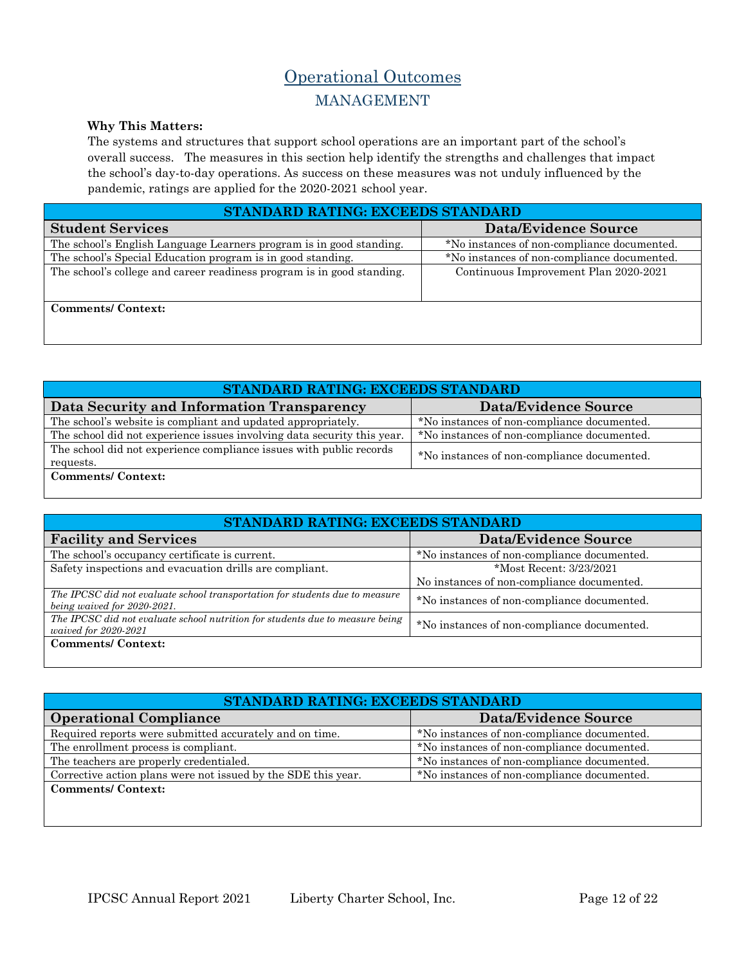### Operational Outcomes MANAGEMENT

#### **Why This Matters:**

The systems and structures that support school operations are an important part of the school's overall success. The measures in this section help identify the strengths and challenges that impact the school's day-to-day operations. As success on these measures was not unduly influenced by the pandemic, ratings are applied for the 2020-2021 school year.

| STANDARD RATING: EXCEEDS STANDARD                                      |                                             |  |  |
|------------------------------------------------------------------------|---------------------------------------------|--|--|
| <b>Student Services</b>                                                | <b>Data/Evidence Source</b>                 |  |  |
| The school's English Language Learners program is in good standing.    | *No instances of non-compliance documented. |  |  |
| The school's Special Education program is in good standing.            | *No instances of non-compliance documented. |  |  |
| The school's college and career readiness program is in good standing. | Continuous Improvement Plan 2020-2021       |  |  |
| <b>Comments/Context:</b>                                               |                                             |  |  |

| STANDARD RATING: EXCEEDS STANDARD                                                |                                             |  |  |
|----------------------------------------------------------------------------------|---------------------------------------------|--|--|
| Data Security and Information Transparency                                       | Data/Evidence Source                        |  |  |
| The school's website is compliant and updated appropriately.                     | *No instances of non-compliance documented. |  |  |
| The school did not experience issues involving data security this year.          | *No instances of non-compliance documented. |  |  |
| The school did not experience compliance issues with public records<br>requests. | *No instances of non-compliance documented. |  |  |
| <b>Comments/Context:</b>                                                         |                                             |  |  |

| STANDARD RATING: EXCEEDS STANDARD                                                                           |                                             |  |  |
|-------------------------------------------------------------------------------------------------------------|---------------------------------------------|--|--|
| <b>Facility and Services</b>                                                                                | Data/Evidence Source                        |  |  |
| The school's occupancy certificate is current.                                                              | *No instances of non-compliance documented. |  |  |
| Safety inspections and evacuation drills are compliant.                                                     | *Most Recent: 3/23/2021                     |  |  |
|                                                                                                             | No instances of non-compliance documented.  |  |  |
| The IPCSC did not evaluate school transportation for students due to measure<br>being waived for 2020-2021. | *No instances of non-compliance documented. |  |  |
| The IPCSC did not evaluate school nutrition for students due to measure being<br>waived for 2020-2021       | *No instances of non-compliance documented. |  |  |
| <b>Comments/Context:</b>                                                                                    |                                             |  |  |

| STANDARD RATING: EXCEEDS STANDARD                             |                                             |  |  |
|---------------------------------------------------------------|---------------------------------------------|--|--|
| <b>Operational Compliance</b>                                 | <b>Data/Evidence Source</b>                 |  |  |
| Required reports were submitted accurately and on time.       | *No instances of non-compliance documented. |  |  |
| The enrollment process is compliant.                          | *No instances of non-compliance documented. |  |  |
| The teachers are properly credentialed.                       | *No instances of non-compliance documented. |  |  |
| Corrective action plans were not issued by the SDE this year. | *No instances of non-compliance documented. |  |  |
| <b>Comments/Context:</b>                                      |                                             |  |  |
|                                                               |                                             |  |  |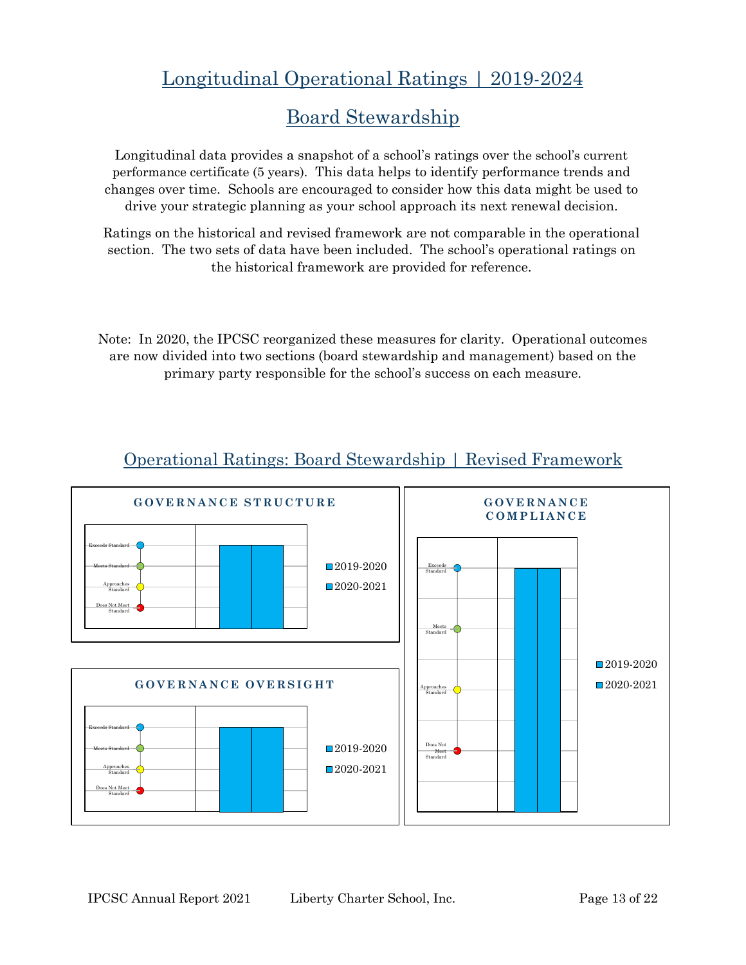# Longitudinal Operational Ratings | 2019-2024

# Board Stewardship

Longitudinal data provides a snapshot of a school's ratings over the school's current performance certificate (5 years). This data helps to identify performance trends and changes over time. Schools are encouraged to consider how this data might be used to drive your strategic planning as your school approach its next renewal decision.

Ratings on the historical and revised framework are not comparable in the operational section. The two sets of data have been included. The school's operational ratings on the historical framework are provided for reference.

Note: In 2020, the IPCSC reorganized these measures for clarity. Operational outcomes are now divided into two sections (board stewardship and management) based on the primary party responsible for the school's success on each measure.



### Operational Ratings: Board Stewardship | Revised Framework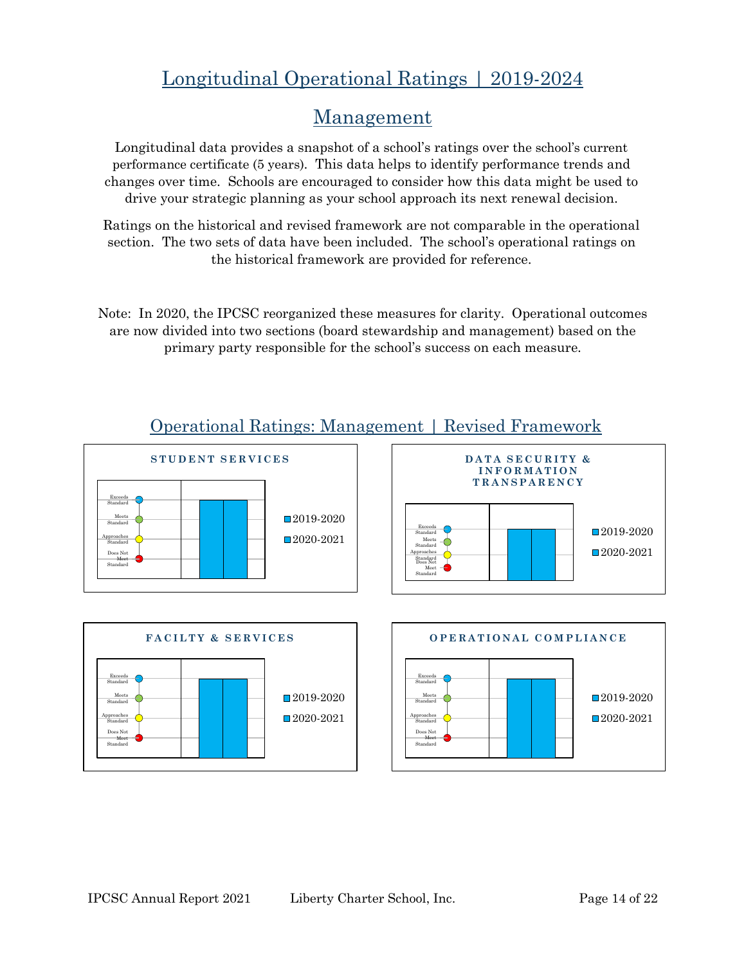# Longitudinal Operational Ratings | 2019-2024

### Management

Longitudinal data provides a snapshot of a school's ratings over the school's current performance certificate (5 years). This data helps to identify performance trends and changes over time. Schools are encouraged to consider how this data might be used to drive your strategic planning as your school approach its next renewal decision.

Ratings on the historical and revised framework are not comparable in the operational section. The two sets of data have been included. The school's operational ratings on the historical framework are provided for reference.

Note: In 2020, the IPCSC reorganized these measures for clarity. Operational outcomes are now divided into two sections (board stewardship and management) based on the primary party responsible for the school's success on each measure.



### Operational Ratings: Management | Revised Framework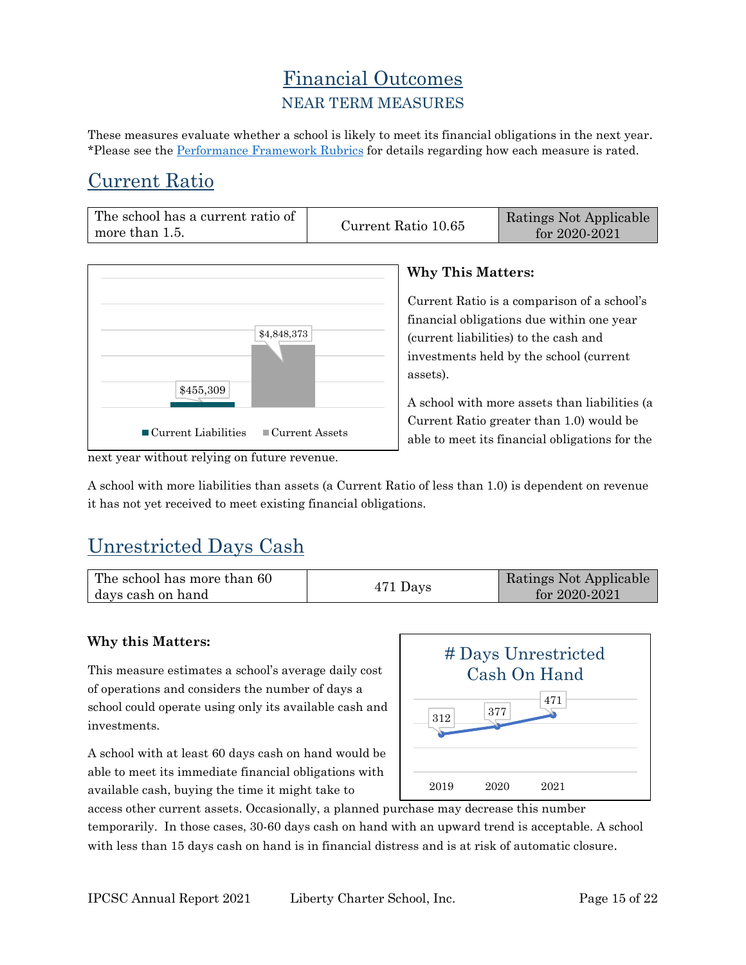### Financial Outcomes NEAR TERM MEASURES

These measures evaluate whether a school is likely to meet its financial obligations in the next year. \*Please see the [Performance Framework Rubrics](https://chartercommission.idaho.gov/resources/financial-framework/) for details regarding how each measure is rated.

# Current Ratio

| The school has a current ratio of |                     | Ratings Not Applicable |
|-----------------------------------|---------------------|------------------------|
| more than 1.5.                    | Current Ratio 10.65 | for 2020-2021          |



### **Why This Matters:**

Current Ratio is a comparison of a school's financial obligations due within one year (current liabilities) to the cash and investments held by the school (current assets).

A school with more assets than liabilities (a Current Ratio greater than 1.0) would be able to meet its financial obligations for the

A school with more liabilities than assets (a Current Ratio of less than 1.0) is dependent on revenue it has not yet received to meet existing financial obligations.

# Unrestricted Days Cash

| The school has more than 60 | 471 Days | Ratings Not Applicable |
|-----------------------------|----------|------------------------|
| days cash on hand           |          | for $2020 - 2021$      |

### **Why this Matters:**

This measure estimates a school's average daily cost of operations and considers the number of days a school could operate using only its available cash and investments.

A school with at least 60 days cash on hand would be able to meet its immediate financial obligations with available cash, buying the time it might take to



# Days Unrestricted Cash On Hand

temporarily. In those cases, 30-60 days cash on hand with an upward trend is acceptable. A school with less than 15 days cash on hand is in financial distress and is at risk of automatic closure.

next year without relying on future revenue.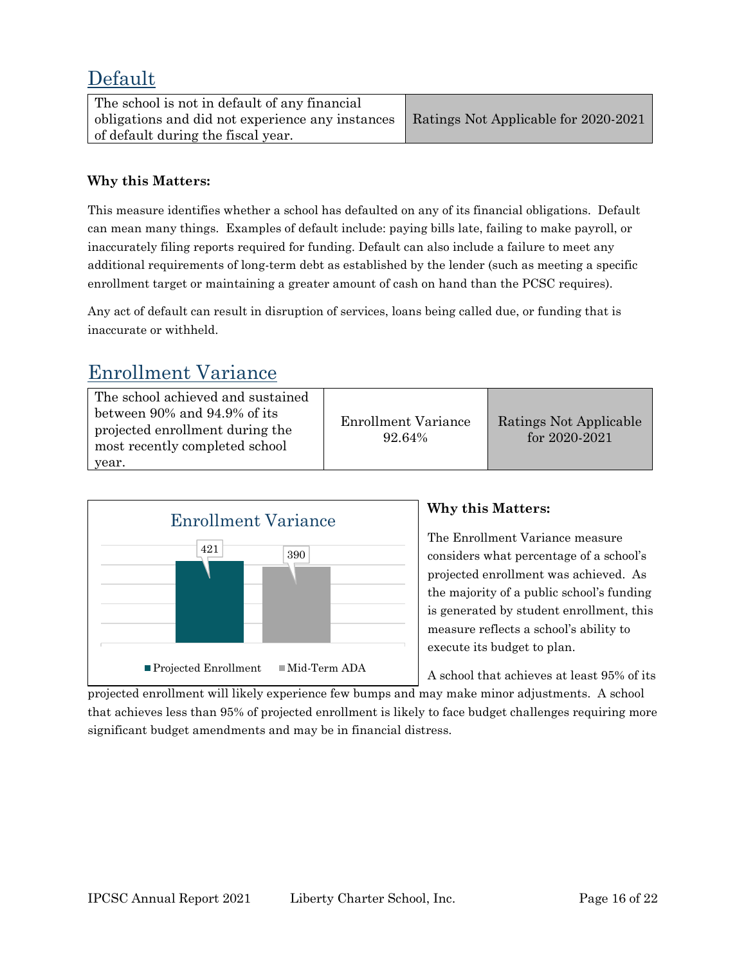### Default

| The school is not in default of any financial    |                                      |
|--------------------------------------------------|--------------------------------------|
| obligations and did not experience any instances | Ratings Not Applicable for 2020-2021 |
| of default during the fiscal year.               |                                      |

#### **Why this Matters:**

This measure identifies whether a school has defaulted on any of its financial obligations. Default can mean many things. Examples of default include: paying bills late, failing to make payroll, or inaccurately filing reports required for funding. Default can also include a failure to meet any additional requirements of long-term debt as established by the lender (such as meeting a specific enrollment target or maintaining a greater amount of cash on hand than the PCSC requires).

Any act of default can result in disruption of services, loans being called due, or funding that is inaccurate or withheld.

### Enrollment Variance

| The school achieved and sustained |  |  |
|-----------------------------------|--|--|
| between 90% and 94.9% of its      |  |  |
| projected enrollment during the   |  |  |
| most recently completed school    |  |  |
| year.                             |  |  |

Enrollment Variance 92.64%

Ratings Not Applicable for 2020-2021



### **Why this Matters:**

The Enrollment Variance measure considers what percentage of a school's projected enrollment was achieved. As the majority of a public school's funding is generated by student enrollment, this measure reflects a school's ability to execute its budget to plan.

A school that achieves at least 95% of its

projected enrollment will likely experience few bumps and may make minor adjustments. A school that achieves less than 95% of projected enrollment is likely to face budget challenges requiring more significant budget amendments and may be in financial distress.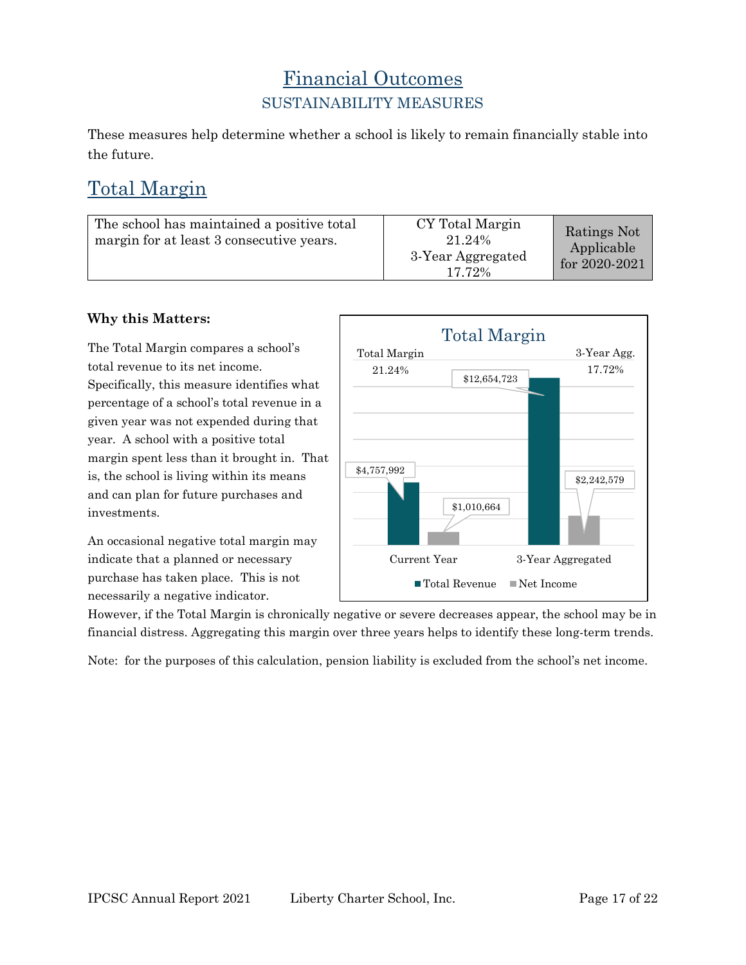### Financial Outcomes SUSTAINABILITY MEASURES

These measures help determine whether a school is likely to remain financially stable into the future.

# Total Margin

| The school has maintained a positive total<br>margin for at least 3 consecutive years. | CY Total Margin<br>21.24%<br>3-Year Aggregated<br>17.72% | Ratings Not<br>Applicable<br>for 2020-2021 |
|----------------------------------------------------------------------------------------|----------------------------------------------------------|--------------------------------------------|
|----------------------------------------------------------------------------------------|----------------------------------------------------------|--------------------------------------------|

#### **Why this Matters:**

The Total Margin compares a school's total revenue to its net income. Specifically, this measure identifies what percentage of a school's total revenue in a given year was not expended during that year. A school with a positive total margin spent less than it brought in. That is, the school is living within its means and can plan for future purchases and investments.

An occasional negative total margin may indicate that a planned or necessary purchase has taken place. This is not necessarily a negative indicator.



However, if the Total Margin is chronically negative or severe decreases appear, the school may be in financial distress. Aggregating this margin over three years helps to identify these long-term trends.

Note: for the purposes of this calculation, pension liability is excluded from the school's net income.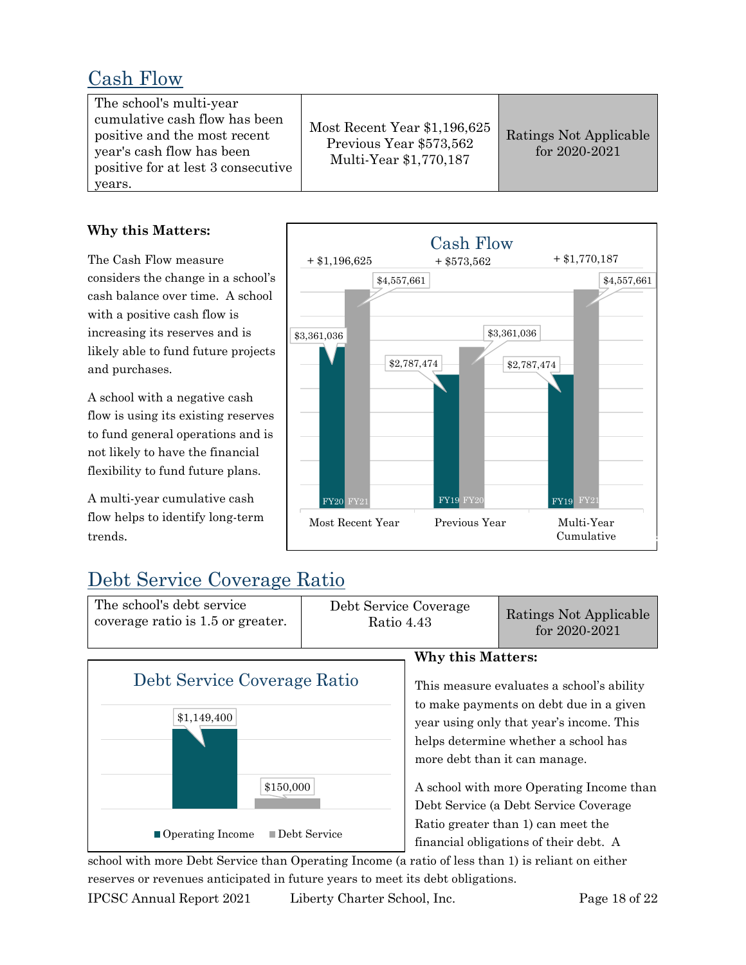### Cash Flow

| The school's multi-year<br>cumulative cash flow has been<br>positive and the most recent<br>year's cash flow has been<br>positive for at lest 3 consecutive<br>years. | Most Recent Year \$1,196,625<br>Previous Year \$573,562<br>Multi-Year \$1,770,187 | Ratings Not Applicable<br>for 2020-2021 |
|-----------------------------------------------------------------------------------------------------------------------------------------------------------------------|-----------------------------------------------------------------------------------|-----------------------------------------|
|-----------------------------------------------------------------------------------------------------------------------------------------------------------------------|-----------------------------------------------------------------------------------|-----------------------------------------|

#### **Why this Matters:**

The Cash Flow measure considers the change in a school's cash balance over time. A school with a positive cash flow is increasing its reserves and is likely able to fund future projects and purchases.

A school with a negative cash flow is using its existing reserves to fund general operations and is not likely to have the financial flexibility to fund future plans.

A multi-year cumulative cash flow helps to identify long-term trends.



# Debt Service Coverage Ratio

The school's debt service coverage ratio is 1.5 or greater. Debt Service Coverage Ratings Not Applicable<br>Ratio 4.43 for 2020-2021



#### **Why this Matters:**

This measure evaluates a school's ability to make payments on debt due in a given year using only that year's income. This helps determine whether a school has more debt than it can manage.

A school with more Operating Income than Debt Service (a Debt Service Coverage Ratio greater than 1) can meet the financial obligations of their debt. A

school with more Debt Service than Operating Income (a ratio of less than 1) is reliant on either reserves or revenues anticipated in future years to meet its debt obligations.

IPCSC Annual Report 2021 Liberty Charter School, Inc. Page 18 of 22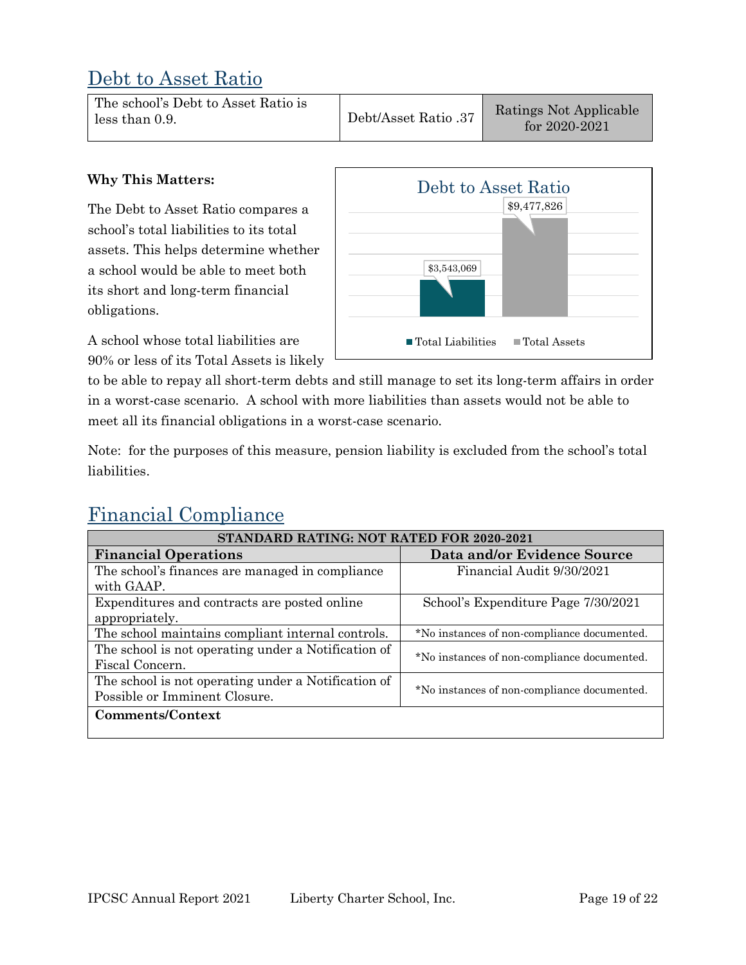### Debt to Asset Ratio

#### **Why This Matters:**

The Debt to Asset Ratio compares a school's total liabilities to its total assets. This helps determine whether a school would be able to meet both its short and long-term financial obligations.

A school whose total liabilities are 90% or less of its Total Assets is likely



to be able to repay all short-term debts and still manage to set its long-term affairs in order in a worst-case scenario. A school with more liabilities than assets would not be able to meet all its financial obligations in a worst-case scenario.

Note: for the purposes of this measure, pension liability is excluded from the school's total liabilities.

# Financial Compliance

| STANDARD RATING: NOT RATED FOR 2020-2021            |                                             |  |  |  |
|-----------------------------------------------------|---------------------------------------------|--|--|--|
| <b>Financial Operations</b>                         | Data and/or Evidence Source                 |  |  |  |
| The school's finances are managed in compliance     | Financial Audit 9/30/2021                   |  |  |  |
| with GAAP.                                          |                                             |  |  |  |
| Expenditures and contracts are posted online        | School's Expenditure Page 7/30/2021         |  |  |  |
| appropriately.                                      |                                             |  |  |  |
| The school maintains compliant internal controls.   | *No instances of non-compliance documented. |  |  |  |
| The school is not operating under a Notification of | *No instances of non-compliance documented. |  |  |  |
| Fiscal Concern.                                     |                                             |  |  |  |
| The school is not operating under a Notification of | *No instances of non-compliance documented. |  |  |  |
| Possible or Imminent Closure.                       |                                             |  |  |  |
| Comments/Context                                    |                                             |  |  |  |
|                                                     |                                             |  |  |  |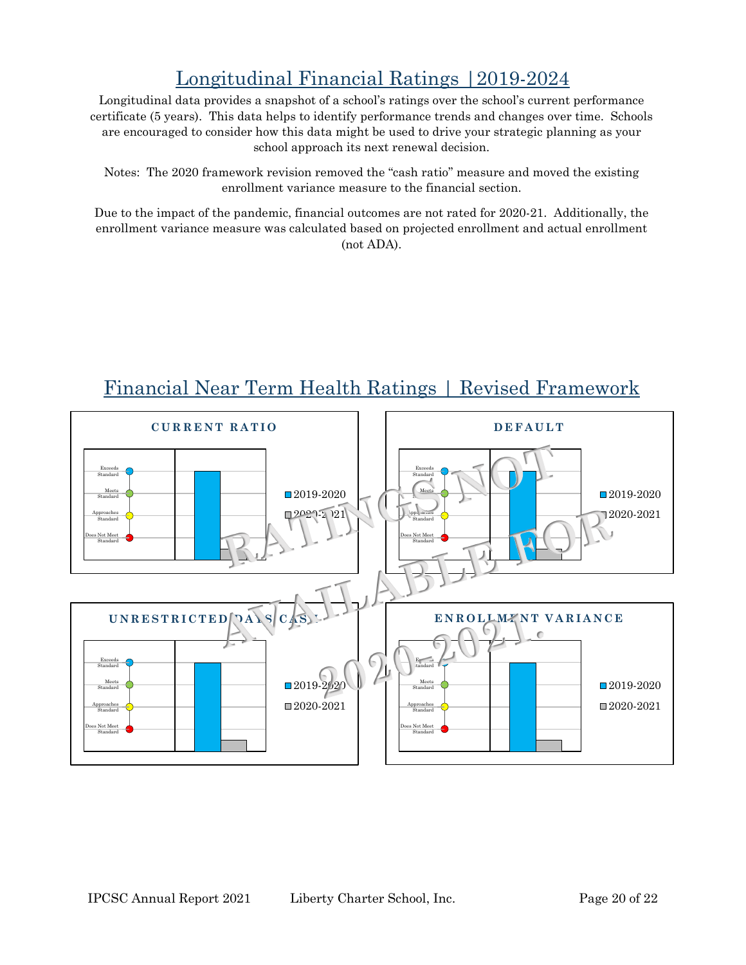# Longitudinal Financial Ratings |2019-2024

Longitudinal data provides a snapshot of a school's ratings over the school's current performance certificate (5 years). This data helps to identify performance trends and changes over time. Schools are encouraged to consider how this data might be used to drive your strategic planning as your school approach its next renewal decision.

Notes: The 2020 framework revision removed the "cash ratio" measure and moved the existing enrollment variance measure to the financial section.

Due to the impact of the pandemic, financial outcomes are not rated for 2020-21. Additionally, the enrollment variance measure was calculated based on projected enrollment and actual enrollment (not ADA).



# Financial Near Term Health Ratings | Revised Framework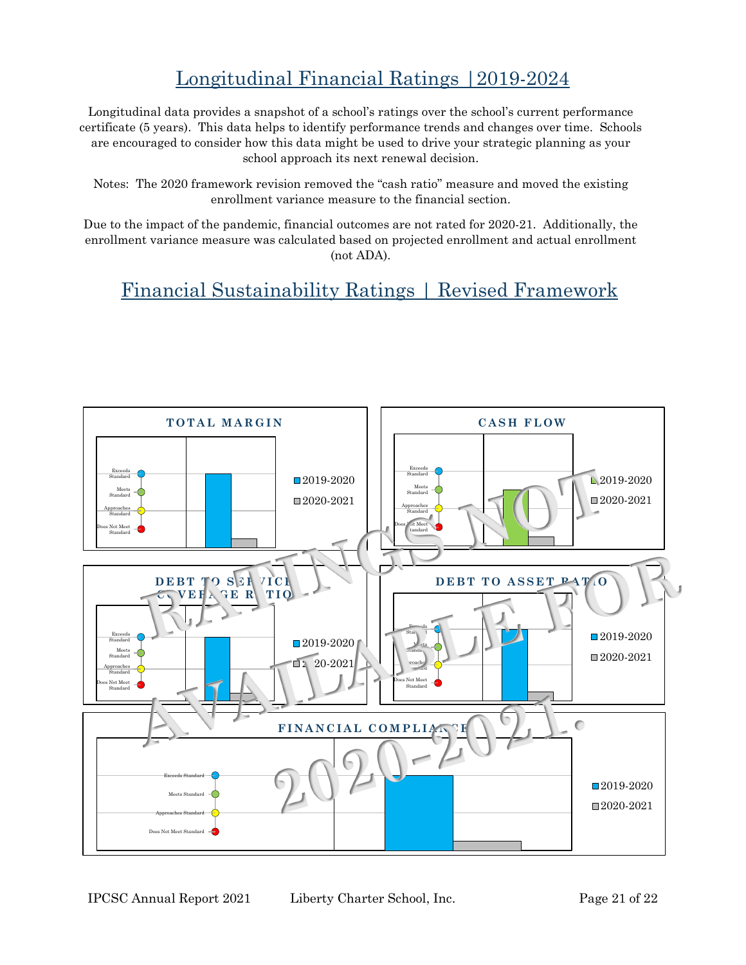# Longitudinal Financial Ratings |2019-2024

Longitudinal data provides a snapshot of a school's ratings over the school's current performance certificate (5 years). This data helps to identify performance trends and changes over time. Schools are encouraged to consider how this data might be used to drive your strategic planning as your school approach its next renewal decision.

Notes: The 2020 framework revision removed the "cash ratio" measure and moved the existing enrollment variance measure to the financial section.

Due to the impact of the pandemic, financial outcomes are not rated for 2020-21. Additionally, the enrollment variance measure was calculated based on projected enrollment and actual enrollment (not ADA).

## Financial Sustainability Ratings | Revised Framework